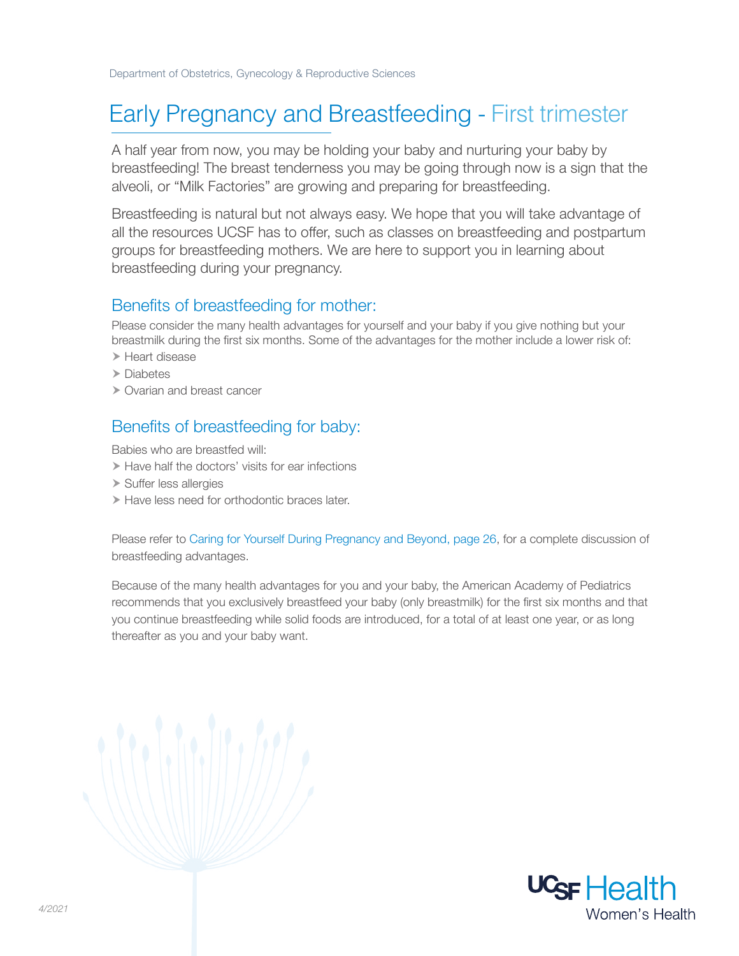### Early Pregnancy and Breastfeeding - First trimester

A half year from now, you may be holding your baby and nurturing your baby by breastfeeding! The breast tenderness you may be going through now is a sign that the alveoli, or "Milk Factories" are growing and preparing for breastfeeding.

Breastfeeding is natural but not always easy. We hope that you will take advantage of all the resources UCSF has to offer, such as classes on breastfeeding and postpartum groups for breastfeeding mothers. We are here to support you in learning about breastfeeding during your pregnancy.

#### Benefits of breastfeeding for mother:

Please consider the many health advantages for yourself and your baby if you give nothing but your breastmilk during the first six months. Some of the advantages for the mother include a lower risk of:

- > Heart disease
- > Diabetes
- Ovarian and breast cancer

### Benefits of breastfeeding for baby:

Babies who are breastfed will:

- $\blacktriangleright$  Have half the doctors' visits for ear infections
- Suffer less allergies
- Have less need for orthodontic braces later.

Please refer to Caring for Yourself During Pregnancy and Beyond, page 26, for a complete discussion of breastfeeding advantages.

Because of the many health advantages for you and your baby, the American Academy of Pediatrics recommends that you exclusively breastfeed your baby (only breastmilk) for the first six months and that you continue breastfeeding while solid foods are introduced, for a total of at least one year, or as long thereafter as you and your baby want.

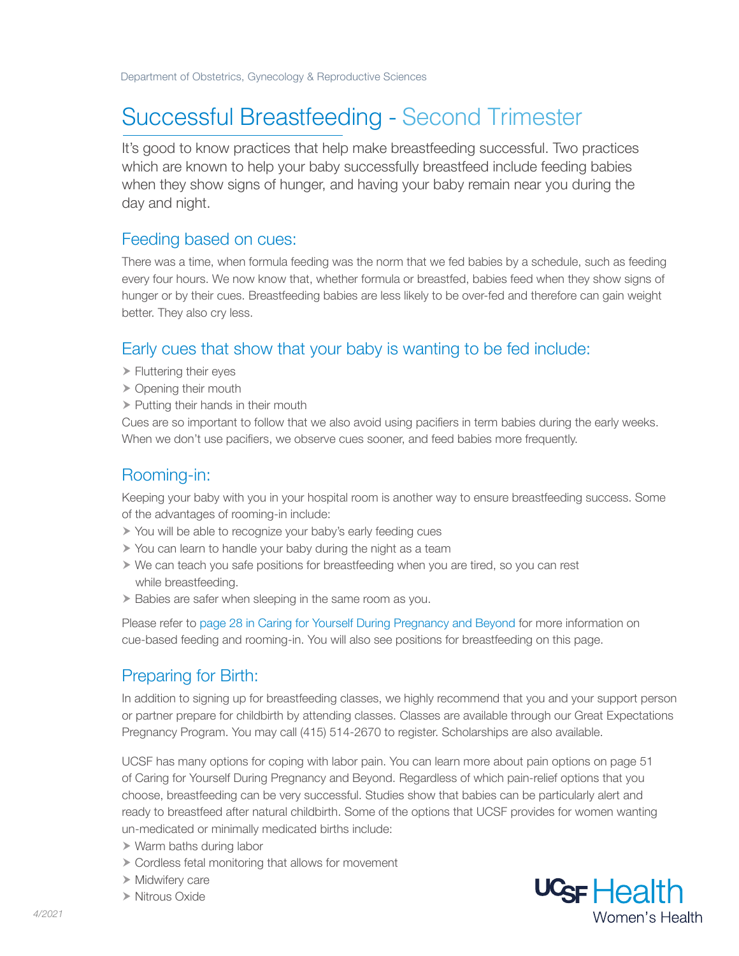# Successful Breastfeeding - Second Trimester

It's good to know practices that help make breastfeeding successful. Two practices which are known to help your baby successfully breastfeed include feeding babies when they show signs of hunger, and having your baby remain near you during the day and night.

#### Feeding based on cues:

There was a time, when formula feeding was the norm that we fed babies by a schedule, such as feeding every four hours. We now know that, whether formula or breastfed, babies feed when they show signs of hunger or by their cues. Breastfeeding babies are less likely to be over-fed and therefore can gain weight better. They also cry less.

### Early cues that show that your baby is wanting to be fed include:

- Fluttering their eyes
- ▶ Opening their mouth
- $\triangleright$  Putting their hands in their mouth

Cues are so important to follow that we also avoid using pacifiers in term babies during the early weeks. When we don't use pacifiers, we observe cues sooner, and feed babies more frequently.

#### Rooming-in:

Keeping your baby with you in your hospital room is another way to ensure breastfeeding success. Some of the advantages of rooming-in include:

- You will be able to recognize your baby's early feeding cues
- You can learn to handle your baby during the night as a team
- $\triangleright$  We can teach you safe positions for breastfeeding when you are tired, so you can rest while breastfeeding.
- Babies are safer when sleeping in the same room as you.

Please refer to page 28 in Caring for Yourself During Pregnancy and Beyond for more information on cue-based feeding and rooming-in. You will also see positions for breastfeeding on this page.

### Preparing for Birth:

In addition to signing up for breastfeeding classes, we highly recommend that you and your support person or partner prepare for childbirth by attending classes. Classes are available through our Great Expectations Pregnancy Program. You may call (415) 514-2670 to register. Scholarships are also available.

UCSF has many options for coping with labor pain. You can learn more about pain options on page 51 of Caring for Yourself During Pregnancy and Beyond. Regardless of which pain-relief options that you choose, breastfeeding can be very successful. Studies show that babies can be particularly alert and ready to breastfeed after natural childbirth. Some of the options that UCSF provides for women wanting un-medicated or minimally medicated births include:

- Warm baths during labor
- Cordless fetal monitoring that allows for movement
- $\triangleright$  Midwifery care
- Nitrous Oxide